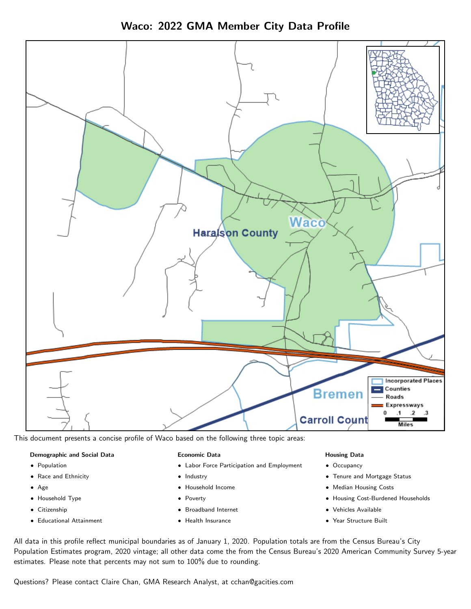Waco: 2022 GMA Member City Data Profile



This document presents a concise profile of Waco based on the following three topic areas:

### Demographic and Social Data

- **•** Population
- Race and Ethnicity
- Age
- Household Type
- **Citizenship**
- Educational Attainment

### Economic Data

- Labor Force Participation and Employment
- Industry
- Household Income
- Poverty
- Broadband Internet
- Health Insurance

### Housing Data

- Occupancy
- Tenure and Mortgage Status
- Median Housing Costs
- Housing Cost-Burdened Households
- Vehicles Available
- Year Structure Built

All data in this profile reflect municipal boundaries as of January 1, 2020. Population totals are from the Census Bureau's City Population Estimates program, 2020 vintage; all other data come the from the Census Bureau's 2020 American Community Survey 5-year estimates. Please note that percents may not sum to 100% due to rounding.

Questions? Please contact Claire Chan, GMA Research Analyst, at [cchan@gacities.com.](mailto:cchan@gacities.com)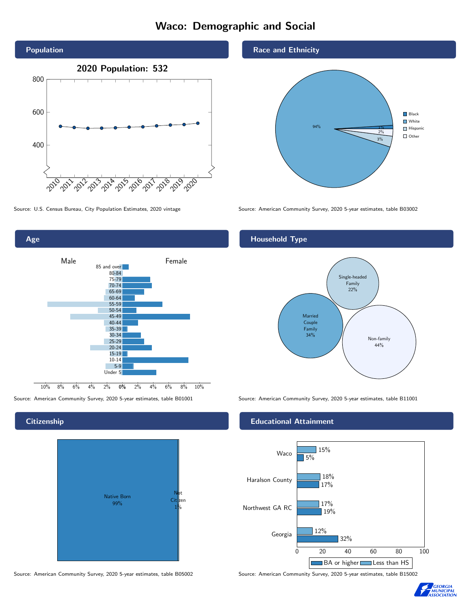# Waco: Demographic and Social





# **Citizenship**



Source: American Community Survey, 2020 5-year estimates, table B05002 Source: American Community Survey, 2020 5-year estimates, table B15002

Race and Ethnicity



Source: U.S. Census Bureau, City Population Estimates, 2020 vintage Source: American Community Survey, 2020 5-year estimates, table B03002

# Household Type



Source: American Community Survey, 2020 5-year estimates, table B01001 Source: American Community Survey, 2020 5-year estimates, table B11001

### Educational Attainment



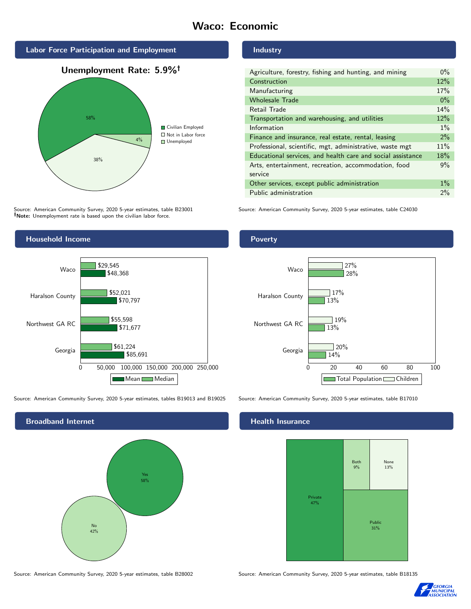# Waco: Economic

Industry







Source: American Community Survey, 2020 5-year estimates, table B23001 Note: Unemployment rate is based upon the civilian labor force.

### Wholesale Trade 0% Retail Trade 14% Transportation and warehousing, and utilities 12%  $Information$  and  $1\%$ Finance and insurance, real estate, rental, leasing 2% Professional, scientific, mgt, administrative, waste mgt 11% Educational services, and health care and social assistance 18% Arts, entertainment, recreation, accommodation, food service 9% Other services, except public administration 1% Public administration 2%

Agriculture, forestry, fishing and hunting, and mining 0% Construction 22% Manufacturing 17%

Source: American Community Survey, 2020 5-year estimates, table C24030



Source: American Community Survey, 2020 5-year estimates, tables B19013 and B19025 Source: American Community Survey, 2020 5-year estimates, table B17010

Broadband Internet No 42% Yes 58%

Poverty



# Health Insurance



Source: American Community Survey, 2020 5-year estimates, table B28002 Source: American Community Survey, 2020 5-year estimates, table B18135